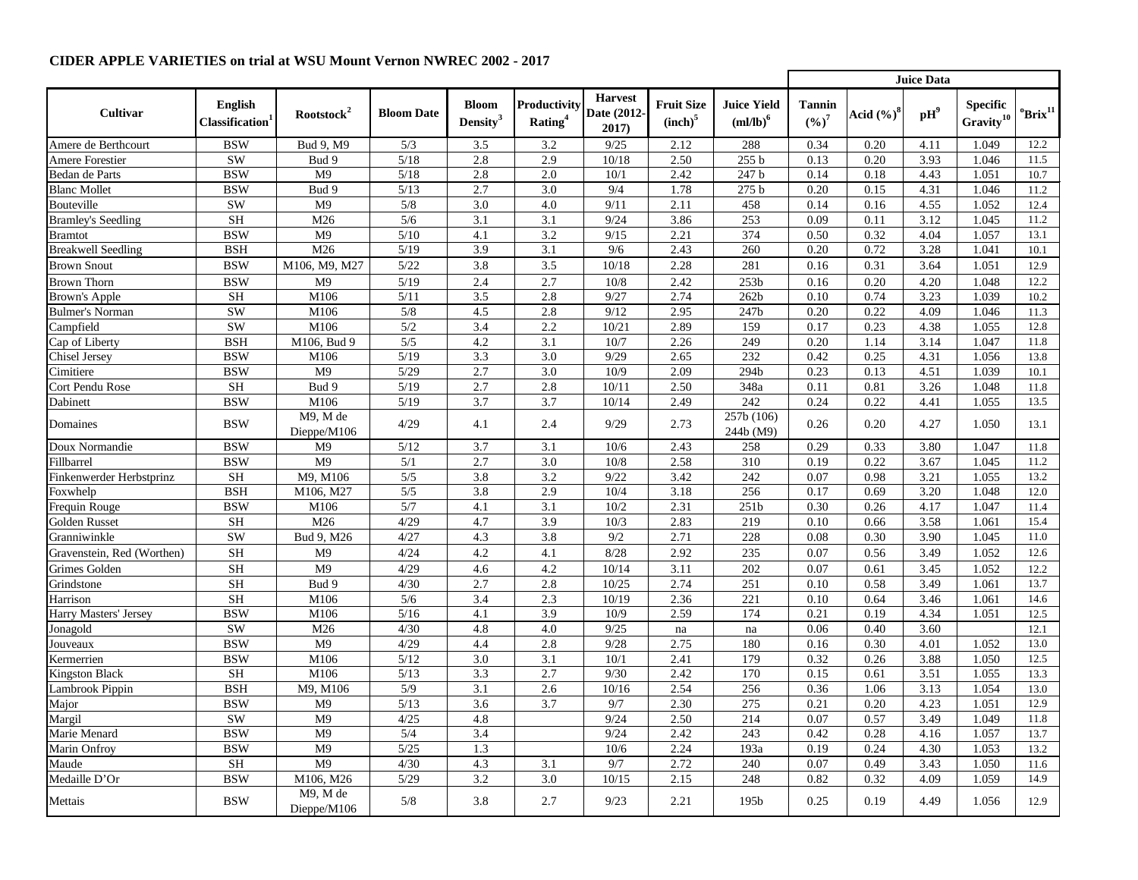|                            |                                               |                            |                   |                                      |                                     |                                        |                                          |                                           | <b>Juice Data</b>          |               |                             |                                          |                             |
|----------------------------|-----------------------------------------------|----------------------------|-------------------|--------------------------------------|-------------------------------------|----------------------------------------|------------------------------------------|-------------------------------------------|----------------------------|---------------|-----------------------------|------------------------------------------|-----------------------------|
| <b>Cultivar</b>            | <b>English</b><br>Classification <sup>1</sup> | Rootstock <sup>2</sup>     | <b>Bloom Date</b> | <b>Bloom</b><br>Density <sup>3</sup> | Productivity<br>Rating <sup>4</sup> | <b>Harvest</b><br>Date (2012-<br>2017) | <b>Fruit Size</b><br>(inch) <sup>5</sup> | <b>Juice Yield</b><br>$m/lb$ <sup>6</sup> | <b>Tannin</b><br>$(9/6)^7$ | Acid $(\%)^8$ | $\mathbf{p}$ H <sup>9</sup> | <b>Specific</b><br>Gravity <sup>10</sup> | $^{\rm o}$ Brix $^{\rm 11}$ |
| Amere de Berthcourt        | <b>BSW</b>                                    | Bud 9, M9                  | 5/3               | 3.5                                  | 3.2                                 | 9/25                                   | 2.12                                     | 288                                       | 0.34                       | 0.20          | 4.11                        | 1.049                                    | 12.2                        |
| <b>Amere Forestier</b>     | <b>SW</b>                                     | Bud 9                      | $5/18$            | 2.8                                  | 2.9                                 | 10/18                                  | 2.50                                     | 255 b                                     | 0.13                       | 0.20          | 3.93                        | 1.046                                    | 11.5                        |
| <b>Bedan de Parts</b>      | <b>BSW</b>                                    | M <sub>9</sub>             | $5/18$            | 2.8                                  | 2.0                                 | 10/1                                   | 2.42                                     | 247 b                                     | 0.14                       | 0.18          | 4.43                        | 1.051                                    | 10.7                        |
| <b>Blanc Mollet</b>        | <b>BSW</b>                                    | Bud 9                      | $5/13$            | 2.7                                  | 3.0                                 | 9/4                                    | 1.78                                     | 275 <sub>b</sub>                          | 0.20                       | 0.15          | 4.31                        | 1.046                                    | 11.2                        |
| Bouteville                 | <b>SW</b>                                     | M <sub>9</sub>             | 5/8               | 3.0                                  | 4.0                                 | 9/11                                   | 2.11                                     | 458                                       | 0.14                       | 0.16          | 4.55                        | 1.052                                    | 12.4                        |
| <b>Bramley's Seedling</b>  | <b>SH</b>                                     | M26                        | 5/6               | 3.1                                  | 3.1                                 | 9/24                                   | 3.86                                     | 253                                       | 0.09                       | 0.11          | 3.12                        | 1.045                                    | 11.2                        |
| <b>Bramtot</b>             | <b>BSW</b>                                    | M <sub>9</sub>             | $5/10$            | 4.1                                  | 3.2                                 | 9/15                                   | 2.21                                     | 374                                       | 0.50                       | 0.32          | 4.04                        | 1.057                                    | 13.1                        |
| <b>Breakwell Seedling</b>  | <b>BSH</b>                                    | M26                        | $5/19$            | 3.9                                  | 3.1                                 | 9/6                                    | 2.43                                     | 260                                       | 0.20                       | 0.72          | 3.28                        | 1.041                                    | 10.1                        |
| <b>Brown Snout</b>         | <b>BSW</b>                                    | M106, M9, M27              | $5/22$            | 3.8                                  | 3.5                                 | 10/18                                  | 2.28                                     | 281                                       | 0.16                       | 0.31          | 3.64                        | 1.051                                    | 12.9                        |
| <b>Brown Thorn</b>         | <b>BSW</b>                                    | M <sub>9</sub>             | $5/19$            | 2.4                                  | 2.7                                 | 10/8                                   | 2.42                                     | 253 <sub>b</sub>                          | 0.16                       | 0.20          | 4.20                        | 1.048                                    | 12.2                        |
| <b>Brown's Apple</b>       | <b>SH</b>                                     | M106                       | 5/11              | 3.5                                  | 2.8                                 | 9/27                                   | 2.74                                     | 262 <sub>b</sub>                          | 0.10                       | 0.74          | 3.23                        | 1.039                                    | 10.2                        |
| <b>Bulmer's Norman</b>     | <b>SW</b>                                     | M106                       | 5/8               | 4.5                                  | 2.8                                 | 9/12                                   | 2.95                                     | 247b                                      | 0.20                       | 0.22          | 4.09                        | 1.046                                    | 11.3                        |
| Campfield                  | <b>SW</b>                                     | M106                       | 5/2               | 3.4                                  | 2.2                                 | 10/21                                  | 2.89                                     | 159                                       | 0.17                       | 0.23          | 4.38                        | 1.055                                    | 12.8                        |
| Cap of Liberty             | <b>BSH</b>                                    | M106, Bud 9                | $5/5$             | 4.2                                  | 3.1                                 | 10/7                                   | 2.26                                     | 249                                       | 0.20                       | 1.14          | 3.14                        | 1.047                                    | 11.8                        |
| <b>Chisel Jersey</b>       | <b>BSW</b>                                    | M106                       | 5/19              | 3.3                                  | 3.0                                 | 9/29                                   | 2.65                                     | 232                                       | 0.42                       | 0.25          | 4.31                        | 1.056                                    | 13.8                        |
| Cimitiere                  | <b>BSW</b>                                    | M <sub>9</sub>             | 5/29              | 2.7                                  | 3.0                                 | 10/9                                   | 2.09                                     | 294b                                      | 0.23                       | 0.13          | 4.51                        | 1.039                                    | 10.1                        |
| Cort Pendu Rose            | <b>SH</b>                                     | Bud 9                      | 5/19              | 2.7                                  | 2.8                                 | 10/11                                  | 2.50                                     | 348a                                      | 0.11                       | 0.81          | 3.26                        | 1.048                                    | 11.8                        |
| Dabinett                   | <b>BSW</b>                                    | M106                       | 5/19              | 3.7                                  | 3.7                                 | 10/14                                  | 2.49                                     | 242                                       | 0.24                       | 0.22          | 4.41                        | 1.055                                    | 13.5                        |
| Domaines                   | <b>BSW</b>                                    | M9, M de<br>Dieppe/M $106$ | 4/29              | 4.1                                  | 2.4                                 | 9/29                                   | 2.73                                     | 257b (106)<br>244b (M9)                   | 0.26                       | 0.20          | 4.27                        | 1.050                                    | 13.1                        |
| Doux Normandie             | <b>BSW</b>                                    | M <sub>9</sub>             | $5/12$            | 3.7                                  | 3.1                                 | 10/6                                   | 2.43                                     | 258                                       | 0.29                       | 0.33          | 3.80                        | 1.047                                    | 11.8                        |
| Fillbarrel                 | <b>BSW</b>                                    | M <sub>9</sub>             | 5/1               | 2.7                                  | 3.0                                 | 10/8                                   | 2.58                                     | 310                                       | 0.19                       | 0.22          | 3.67                        | 1.045                                    | 11.2                        |
| Finkenwerder Herbstprinz   | <b>SH</b>                                     | M9, M106                   | 5/5               | 3.8                                  | 3.2                                 | 9/22                                   | 3.42                                     | 242                                       | 0.07                       | 0.98          | 3.21                        | 1.055                                    | 13.2                        |
| Foxwhelp                   | <b>BSH</b>                                    | M106, M27                  | 5/5               | 3.8                                  | 2.9                                 | 10/4                                   | 3.18                                     | 256                                       | 0.17                       | 0.69          | 3.20                        | 1.048                                    | 12.0                        |
| Frequin Rouge              | <b>BSW</b>                                    | M106                       | 5/7               | 4.1                                  | 3.1                                 | 10/2                                   | 2.31                                     | 251b                                      | 0.30                       | 0.26          | 4.17                        | 1.047                                    | 11.4                        |
| Golden Russet              | $\operatorname{SH}$                           | M26                        | 4/29              | 4.7                                  | 3.9                                 | 10/3                                   | 2.83                                     | 219                                       | 0.10                       | 0.66          | 3.58                        | 1.061                                    | 15.4                        |
| Granniwinkle               | <b>SW</b>                                     | Bud 9, M26                 | 4/27              | 4.3                                  | 3.8                                 | 9/2                                    | 2.71                                     | 228                                       | 0.08                       | 0.30          | 3.90                        | 1.045                                    | 11.0                        |
| Gravenstein, Red (Worthen) | <b>SH</b>                                     | M <sub>9</sub>             | 4/24              | 4.2                                  | 4.1                                 | 8/28                                   | 2.92                                     | 235                                       | 0.07                       | 0.56          | 3.49                        | 1.052                                    | 12.6                        |
| Grimes Golden              | <b>SH</b>                                     | M <sub>9</sub>             | 4/29              | 4.6                                  | 4.2                                 | 10/14                                  | 3.11                                     | 202                                       | 0.07                       | 0.61          | 3.45                        | 1.052                                    | 12.2                        |
| Grindstone                 | $\operatorname{SH}$                           | Bud 9                      | 4/30              | 2.7                                  | 2.8                                 | 10/25                                  | 2.74                                     | 251                                       | 0.10                       | 0.58          | 3.49                        | 1.061                                    | 13.7                        |
| Harrison                   | $\rm SH$                                      | M106                       | 5/6               | 3.4                                  | 2.3                                 | 10/19                                  | 2.36                                     | 221                                       | 0.10                       | 0.64          | 3.46                        | 1.061                                    | 14.6                        |
| Harry Masters' Jersey      | <b>BSW</b>                                    | M106                       | $5/16$            | 4.1                                  | 3.9                                 | 10/9                                   | 2.59                                     | 174                                       | 0.21                       | 0.19          | 4.34                        | 1.051                                    | 12.5                        |
| Jonagold                   | <b>SW</b>                                     | M26                        | 4/30              | 4.8                                  | 4.0                                 | 9/25                                   | na                                       | na                                        | 0.06                       | 0.40          | 3.60                        |                                          | 12.1                        |
| Jouveaux                   | <b>BSW</b>                                    | M <sub>9</sub>             | 4/29              | 4.4                                  | 2.8                                 | 9/28                                   | 2.75                                     | 180                                       | 0.16                       | 0.30          | 4.01                        | 1.052                                    | 13.0                        |
| Kermerrien                 | <b>BSW</b>                                    | M106                       | 5/12              | 3.0                                  | 3.1                                 | 10/1                                   | 2.41                                     | 179                                       | 0.32                       | 0.26          | 3.88                        | 1.050                                    | 12.5                        |
| <b>Kingston Black</b>      | <b>SH</b>                                     | M106                       | $5/13$            | 3.3                                  | 2.7                                 | 9/30                                   | 2.42                                     | 170                                       | 0.15                       | 0.61          | 3.51                        | 1.055                                    | 13.3                        |
| Lambrook Pippin            | <b>BSH</b>                                    | M9, M106                   | 5/9               | 3.1                                  | 2.6                                 | 10/16                                  | 2.54                                     | 256                                       | 0.36                       | 1.06          | 3.13                        | 1.054                                    | 13.0                        |
| Major                      | <b>BSW</b>                                    | M <sub>9</sub>             | $5/13$            | 3.6                                  | 3.7                                 | 9/7                                    | 2.30                                     | 275                                       | 0.21                       | 0.20          | 4.23                        | 1.051                                    | 12.9                        |
| Margil                     | <b>SW</b>                                     | M <sup>9</sup>             | 4/25              | 4.8                                  |                                     | 9/24                                   | 2.50                                     | 214                                       | 0.07                       | 0.57          | 3.49                        | 1.049                                    | 11.8                        |
| Marie Menard               | <b>BSW</b>                                    | M <sub>9</sub>             | 5/4               | 3.4                                  |                                     | 9/24                                   | 2.42                                     | 243                                       | 0.42                       | 0.28          | 4.16                        | 1.057                                    | 13.7                        |
| <b>Marin Onfroy</b>        | <b>BSW</b>                                    | M <sub>9</sub>             | $5/25$            | 1.3                                  |                                     | 10/6                                   | 2.24                                     | 193a                                      | 0.19                       | 0.24          | 4.30                        | 1.053                                    | 13.2                        |
| Maude                      | <b>SH</b>                                     | M <sub>9</sub>             | 4/30              | 4.3                                  | 3.1                                 | 9/7                                    | 2.72                                     | 240                                       | 0.07                       | 0.49          | 3.43                        | 1.050                                    | 11.6                        |
| Medaille D'Or              | <b>BSW</b>                                    | M106, M26                  | 5/29              | 3.2                                  | 3.0                                 | 10/15                                  | 2.15                                     | 248                                       | 0.82                       | 0.32          | 4.09                        | 1.059                                    | 14.9                        |
| Mettais                    | <b>BSW</b>                                    | M9, M de<br>Dieppe/M $106$ | 5/8               | 3.8                                  | 2.7                                 | 9/23                                   | 2.21                                     | 195 <sub>b</sub>                          | 0.25                       | 0.19          | 4.49                        | 1.056                                    | 12.9                        |

## **CIDER APPLE VARIETIES on trial at WSU Mount Vernon NWREC 2002 - 2017**